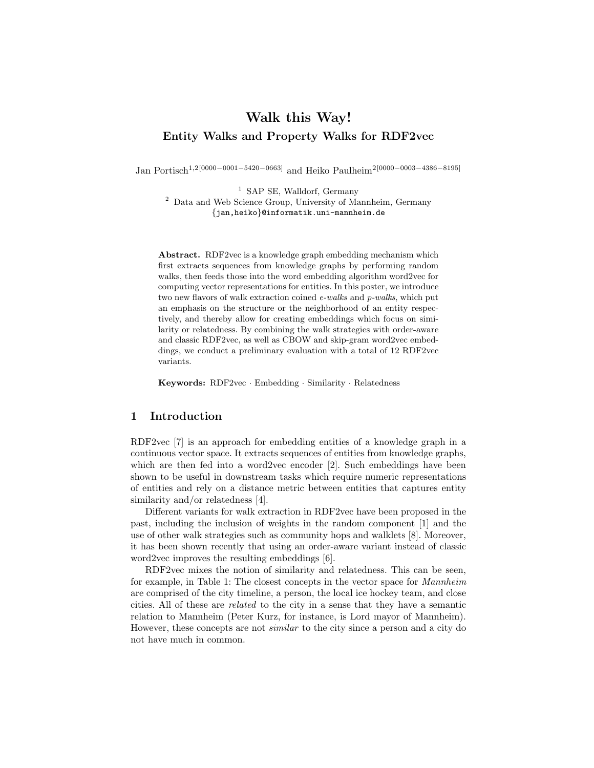# Walk this Way! Entity Walks and Property Walks for RDF2vec

Jan Portisch1,2[0000−0001−5420−0663] and Heiko Paulheim2[0000−0003−4386−8195]

<sup>1</sup> SAP SE, Walldorf, Germany

<sup>2</sup> Data and Web Science Group, University of Mannheim, Germany {jan,heiko}@informatik.uni-mannheim.de

Abstract. RDF2vec is a knowledge graph embedding mechanism which first extracts sequences from knowledge graphs by performing random walks, then feeds those into the word embedding algorithm word2vec for computing vector representations for entities. In this poster, we introduce two new flavors of walk extraction coined e-walks and p-walks, which put an emphasis on the structure or the neighborhood of an entity respectively, and thereby allow for creating embeddings which focus on similarity or relatedness. By combining the walk strategies with order-aware and classic RDF2vec, as well as CBOW and skip-gram word2vec embeddings, we conduct a preliminary evaluation with a total of 12 RDF2vec variants.

Keywords: RDF2vec · Embedding · Similarity · Relatedness

#### 1 Introduction

RDF2vec [7] is an approach for embedding entities of a knowledge graph in a continuous vector space. It extracts sequences of entities from knowledge graphs, which are then fed into a word2vec encoder [2]. Such embeddings have been shown to be useful in downstream tasks which require numeric representations of entities and rely on a distance metric between entities that captures entity similarity and/or relatedness [4].

Different variants for walk extraction in RDF2vec have been proposed in the past, including the inclusion of weights in the random component [1] and the use of other walk strategies such as community hops and walklets [8]. Moreover, it has been shown recently that using an order-aware variant instead of classic word2vec improves the resulting embeddings [6].

RDF2vec mixes the notion of similarity and relatedness. This can be seen, for example, in Table 1: The closest concepts in the vector space for Mannheim are comprised of the city timeline, a person, the local ice hockey team, and close cities. All of these are related to the city in a sense that they have a semantic relation to Mannheim (Peter Kurz, for instance, is Lord mayor of Mannheim). However, these concepts are not similar to the city since a person and a city do not have much in common.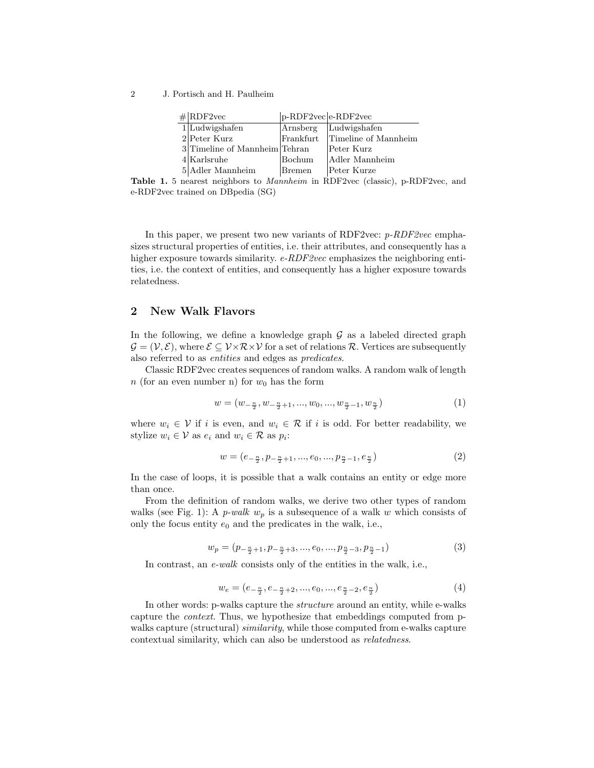2 J. Portisch and H. Paulheim

| $\#$ RDF2vec                  | $ p-RDF2vec e-RDF2vec$ |                      |
|-------------------------------|------------------------|----------------------|
| $1$ Ludwigshafen              | Arnsberg               | Ludwigshafen         |
| $2$ Peter Kurz                | $\lvert$ Frankfurt     | Timeline of Mannheim |
| 3 Timeline of Mannheim Tehran |                        | Peter Kurz           |
| $4$ Karlsruhe                 | Bochum                 | Adler Mannheim       |
| $5$  Adler Mannheim           | Bremen                 | Peter Kurze          |

Table 1. 5 nearest neighbors to Mannheim in RDF2vec (classic), p-RDF2vec, and e-RDF2vec trained on DBpedia (SG)

In this paper, we present two new variants of RDF2vec:  $p$ -RDF2vec emphasizes structural properties of entities, i.e. their attributes, and consequently has a higher exposure towards similarity.  $e$ -RDF2vec emphasizes the neighboring entities, i.e. the context of entities, and consequently has a higher exposure towards relatedness.

## 2 New Walk Flavors

In the following, we define a knowledge graph  $\mathcal G$  as a labeled directed graph  $\mathcal{G} = (\mathcal{V}, \mathcal{E})$ , where  $\mathcal{E} \subseteq \mathcal{V} \times \mathcal{R} \times \mathcal{V}$  for a set of relations  $\mathcal{R}$ . Vertices are subsequently also referred to as entities and edges as predicates.

Classic RDF2vec creates sequences of random walks. A random walk of length n (for an even number n) for  $w_0$  has the form

$$
w = (w_{-\frac{n}{2}}, w_{-\frac{n}{2}+1}, ..., w_0, ..., w_{\frac{n}{2}-1}, w_{\frac{n}{2}})
$$
\n
$$
\tag{1}
$$

where  $w_i \in V$  if i is even, and  $w_i \in \mathcal{R}$  if i is odd. For better readability, we stylize  $w_i \in \mathcal{V}$  as  $e_i$  and  $w_i \in \mathcal{R}$  as  $p_i$ :

$$
w = (e_{-\frac{n}{2}}, p_{-\frac{n}{2}+1}, ..., e_0, ..., p_{\frac{n}{2}-1}, e_{\frac{n}{2}})
$$
\n
$$
(2)
$$

In the case of loops, it is possible that a walk contains an entity or edge more than once.

From the definition of random walks, we derive two other types of random walks (see Fig. 1): A *p-walk*  $w_p$  is a subsequence of a walk w which consists of only the focus entity  $e_0$  and the predicates in the walk, i.e.,

$$
w_p = (p_{-\frac{n}{2}+1}, p_{-\frac{n}{2}+3}, ..., e_0, ..., p_{\frac{n}{2}-3}, p_{\frac{n}{2}-1})
$$
\n(3)

In contrast, an e-walk consists only of the entities in the walk, i.e.,

$$
w_e = (e_{-\frac{n}{2}}, e_{-\frac{n}{2}+2}, ..., e_0, ..., e_{\frac{n}{2}-2}, e_{\frac{n}{2}})
$$
(4)

In other words: p-walks capture the structure around an entity, while e-walks capture the context. Thus, we hypothesize that embeddings computed from pwalks capture (structural) *similarity*, while those computed from e-walks capture contextual similarity, which can also be understood as relatedness.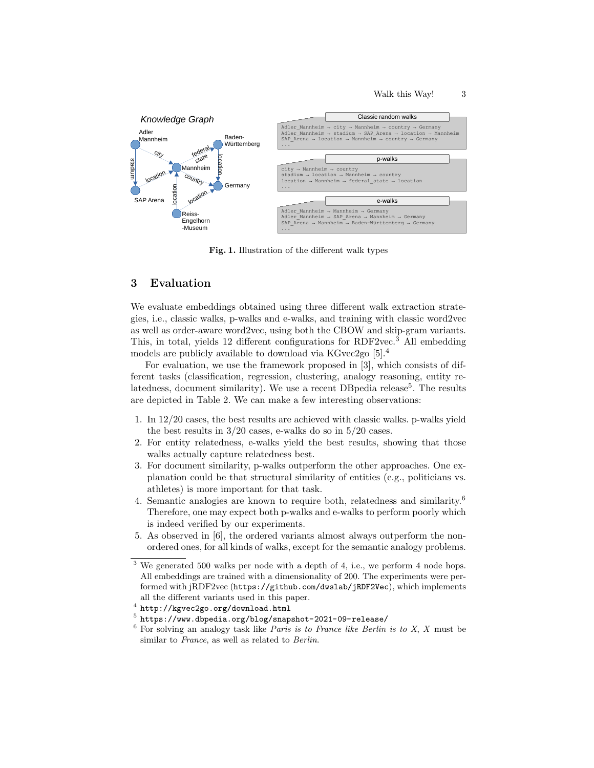

Fig. 1. Illustration of the different walk types

#### 3 Evaluation

We evaluate embeddings obtained using three different walk extraction strategies, i.e., classic walks, p-walks and e-walks, and training with classic word2vec as well as order-aware word2vec, using both the CBOW and skip-gram variants. This, in total, yields 12 different configurations for RDF2vec.<sup>3</sup> All embedding models are publicly available to download via KGvec2go [5].<sup>4</sup>

For evaluation, we use the framework proposed in [3], which consists of different tasks (classification, regression, clustering, analogy reasoning, entity relatedness, document similarity). We use a recent DB pedia release<sup>5</sup>. The results are depicted in Table 2. We can make a few interesting observations:

- 1. In 12/20 cases, the best results are achieved with classic walks. p-walks yield the best results in 3/20 cases, e-walks do so in 5/20 cases.
- 2. For entity relatedness, e-walks yield the best results, showing that those walks actually capture relatedness best.
- 3. For document similarity, p-walks outperform the other approaches. One explanation could be that structural similarity of entities (e.g., politicians vs. athletes) is more important for that task.
- 4. Semantic analogies are known to require both, relatedness and similarity.<sup>6</sup> Therefore, one may expect both p-walks and e-walks to perform poorly which is indeed verified by our experiments.
- 5. As observed in [6], the ordered variants almost always outperform the nonordered ones, for all kinds of walks, except for the semantic analogy problems.

 $3$  We generated 500 walks per node with a depth of 4, i.e., we perform 4 node hops. All embeddings are trained with a dimensionality of 200. The experiments were performed with jRDF2vec (https://github.com/dwslab/jRDF2Vec), which implements all the different variants used in this paper.

 $^4$  http://kgvec2go.org/download.html

 $^5$ https://www.dbpedia.org/blog/snapshot-2021-09-release/

 $6$  For solving an analogy task like *Paris is to France like Berlin is to X, X* must be similar to France, as well as related to Berlin.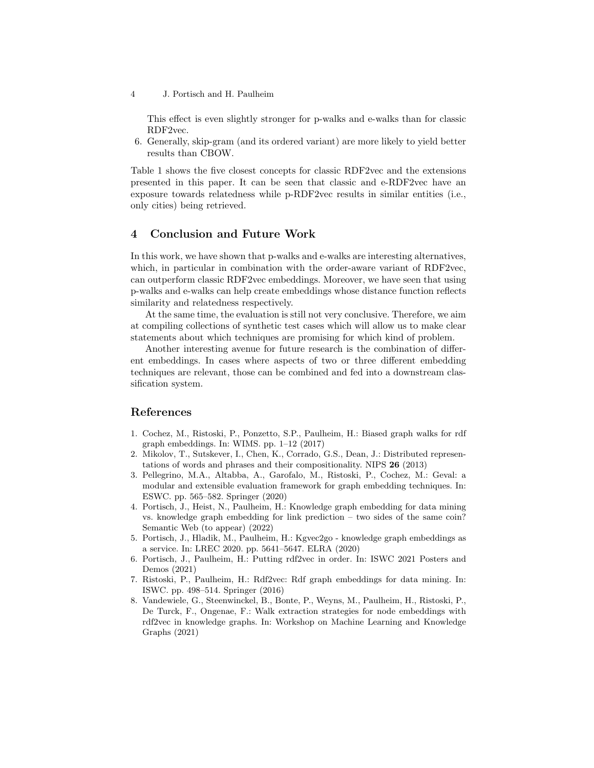4 J. Portisch and H. Paulheim

This effect is even slightly stronger for p-walks and e-walks than for classic RDF2vec.

6. Generally, skip-gram (and its ordered variant) are more likely to yield better results than CBOW.

Table 1 shows the five closest concepts for classic RDF2vec and the extensions presented in this paper. It can be seen that classic and e-RDF2vec have an exposure towards relatedness while p-RDF2vec results in similar entities (i.e., only cities) being retrieved.

# 4 Conclusion and Future Work

In this work, we have shown that p-walks and e-walks are interesting alternatives, which, in particular in combination with the order-aware variant of RDF2vec, can outperform classic RDF2vec embeddings. Moreover, we have seen that using p-walks and e-walks can help create embeddings whose distance function reflects similarity and relatedness respectively.

At the same time, the evaluation is still not very conclusive. Therefore, we aim at compiling collections of synthetic test cases which will allow us to make clear statements about which techniques are promising for which kind of problem.

Another interesting avenue for future research is the combination of different embeddings. In cases where aspects of two or three different embedding techniques are relevant, those can be combined and fed into a downstream classification system.

### References

- 1. Cochez, M., Ristoski, P., Ponzetto, S.P., Paulheim, H.: Biased graph walks for rdf graph embeddings. In: WIMS. pp. 1–12 (2017)
- 2. Mikolov, T., Sutskever, I., Chen, K., Corrado, G.S., Dean, J.: Distributed representations of words and phrases and their compositionality. NIPS 26 (2013)
- 3. Pellegrino, M.A., Altabba, A., Garofalo, M., Ristoski, P., Cochez, M.: Geval: a modular and extensible evaluation framework for graph embedding techniques. In: ESWC. pp. 565–582. Springer (2020)
- 4. Portisch, J., Heist, N., Paulheim, H.: Knowledge graph embedding for data mining vs. knowledge graph embedding for link prediction – two sides of the same coin? Semantic Web (to appear) (2022)
- 5. Portisch, J., Hladik, M., Paulheim, H.: Kgvec2go knowledge graph embeddings as a service. In: LREC 2020. pp. 5641–5647. ELRA (2020)
- 6. Portisch, J., Paulheim, H.: Putting rdf2vec in order. In: ISWC 2021 Posters and Demos (2021)
- 7. Ristoski, P., Paulheim, H.: Rdf2vec: Rdf graph embeddings for data mining. In: ISWC. pp. 498–514. Springer (2016)
- 8. Vandewiele, G., Steenwinckel, B., Bonte, P., Weyns, M., Paulheim, H., Ristoski, P., De Turck, F., Ongenae, F.: Walk extraction strategies for node embeddings with rdf2vec in knowledge graphs. In: Workshop on Machine Learning and Knowledge Graphs (2021)